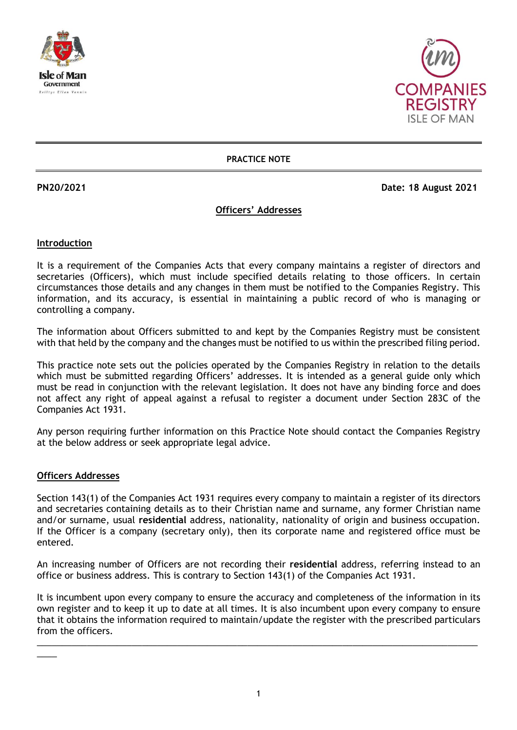



**PRACTICE NOTE**

**PN20/2021 Date: 18 August 2021**

# **Officers' Addresses**

# **Introduction**

It is a requirement of the Companies Acts that every company maintains a register of directors and secretaries (Officers), which must include specified details relating to those officers. In certain circumstances those details and any changes in them must be notified to the Companies Registry. This information, and its accuracy, is essential in maintaining a public record of who is managing or controlling a company.

The information about Officers submitted to and kept by the Companies Registry must be consistent with that held by the company and the changes must be notified to us within the prescribed filing period.

This practice note sets out the policies operated by the Companies Registry in relation to the details which must be submitted regarding Officers' addresses. It is intended as a general guide only which must be read in conjunction with the relevant legislation. It does not have any binding force and does not affect any right of appeal against a refusal to register a document under Section 283C of the Companies Act 1931.

Any person requiring further information on this Practice Note should contact the Companies Registry at the below address or seek appropriate legal advice.

# **Officers Addresses**

 $\overline{\phantom{a}}$ 

Section 143(1) of the Companies Act 1931 requires every company to maintain a register of its directors and secretaries containing details as to their Christian name and surname, any former Christian name and/or surname, usual **residential** address, nationality, nationality of origin and business occupation. If the Officer is a company (secretary only), then its corporate name and registered office must be entered.

An increasing number of Officers are not recording their **residential** address, referring instead to an office or business address. This is contrary to Section 143(1) of the Companies Act 1931.

It is incumbent upon every company to ensure the accuracy and completeness of the information in its own register and to keep it up to date at all times. It is also incumbent upon every company to ensure that it obtains the information required to maintain/update the register with the prescribed particulars from the officers.

\_\_\_\_\_\_\_\_\_\_\_\_\_\_\_\_\_\_\_\_\_\_\_\_\_\_\_\_\_\_\_\_\_\_\_\_\_\_\_\_\_\_\_\_\_\_\_\_\_\_\_\_\_\_\_\_\_\_\_\_\_\_\_\_\_\_\_\_\_\_\_\_\_\_\_\_\_\_\_\_\_\_\_\_\_\_\_\_